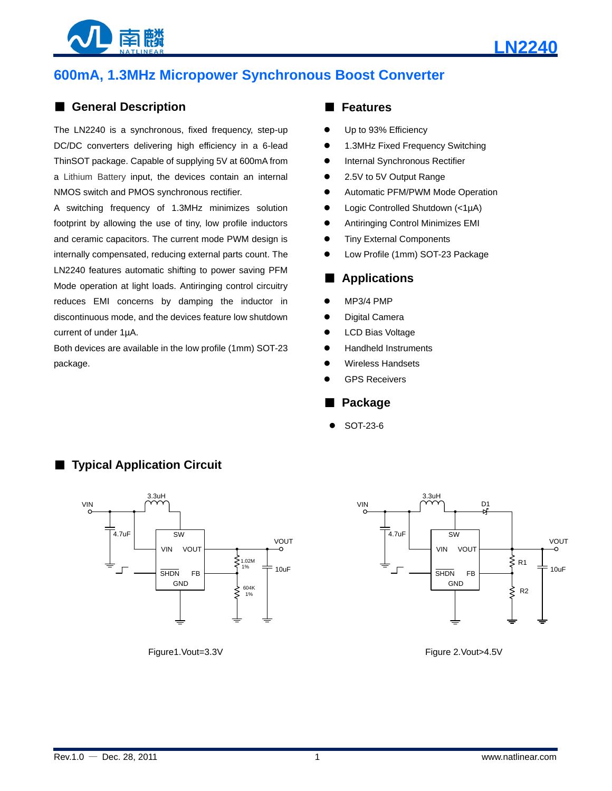



# **600mA, 1.3MHz Micropower Synchronous Boost Converter**

# ■ **General Description**

The LN2240 is a synchronous, fixed frequency, step-up DC/DC converters delivering high efficiency in a 6-lead ThinSOT package. Capable of supplying 5V at 600mA from a Lithium Battery input, the devices contain an internal NMOS switch and PMOS synchronous rectifier.

A switching frequency of 1.3MHz minimizes solution footprint by allowing the use of tiny, low profile inductors and ceramic capacitors. The current mode PWM design is internally compensated, reducing external parts count. The LN2240 features automatic shifting to power saving PFM Mode operation at light loads. Antiringing control circuitry reduces EMI concerns by damping the inductor in discontinuous mode, and the devices feature low shutdown current of under 1µA.

Both devices are available in the low profile (1mm) SOT-23 package.

■ **Typical Application Circuit** 

## ■ **Features**

- Up to 93% Efficiency
- 1.3MHz Fixed Frequency Switching
- Internal Synchronous Rectifier
- 2.5V to 5V Output Range
- Automatic PFM/PWM Mode Operation
- Logic Controlled Shutdown (<1µA)
- Antiringing Control Minimizes EMI
- **•** Tiny External Components
- Low Profile (1mm) SOT-23 Package

## ■ **Applications**

- MP3/4 PMP
- Digital Camera
- LCD Bias Voltage
- Handheld Instruments
- Wireless Handsets
- GPS Receivers

### ■ **Package**

SOT-23-6





Figure1.Vout=3.3V Figure 2.Vout>4.5V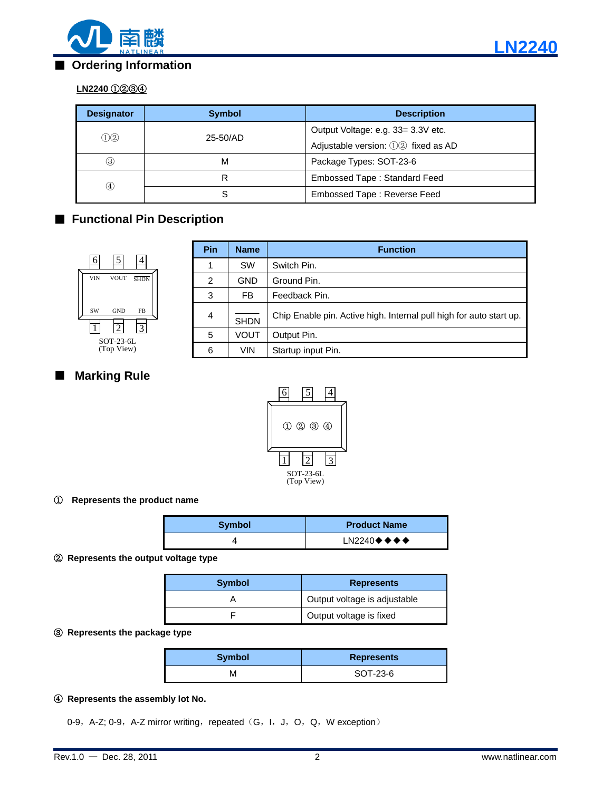

# ■ **Ordering Information**

# **LN2240** ①②③④

| <b>Designator</b> | <b>Symbol</b> | <b>Description</b>                 |
|-------------------|---------------|------------------------------------|
| ①②                | 25-50/AD      | Output Voltage: e.g. 33= 3.3V etc. |
|                   |               | Adjustable version: 12 fixed as AD |
| $\circled{3}$     | М             | Package Types: SOT-23-6            |
| $\left( 4\right)$ | R             | Embossed Tape: Standard Feed       |
|                   | S             | Embossed Tape: Reverse Feed        |

# ■ **Functional Pin Description**



| Pin            | <b>Name</b> | <b>Function</b>                                                     |
|----------------|-------------|---------------------------------------------------------------------|
|                | <b>SW</b>   | Switch Pin.                                                         |
| $\overline{2}$ | <b>GND</b>  | Ground Pin.                                                         |
| 3              | FB.         | Feedback Pin.                                                       |
| $\overline{4}$ | <b>SHDN</b> | Chip Enable pin. Active high. Internal pull high for auto start up. |
| 5              | VOUT        | Output Pin.                                                         |
| 6              | <b>VIN</b>  | Startup input Pin.                                                  |

# ■ **Marking Rule**



### ① **Represents the product name**

| <b>Symbol</b> | <b>Product Name</b>                                |  |  |
|---------------|----------------------------------------------------|--|--|
|               | $LN2240 \blacklozenge \blacklozenge \blacklozenge$ |  |  |

#### ② **Represents the output voltage type**

| <b>Symbol</b> | <b>Represents</b>            |  |  |
|---------------|------------------------------|--|--|
|               | Output voltage is adjustable |  |  |
|               | Output voltage is fixed      |  |  |

#### ③ **Represents the package type**

| <b>Symbol</b> | <b>Represents</b> |  |
|---------------|-------------------|--|
|               | SOT-23-6          |  |

#### ④ **Represents the assembly lot No.**

0-9, A-Z; 0-9, A-Z mirror writing, repeated (G, I, J, O, Q, W exception)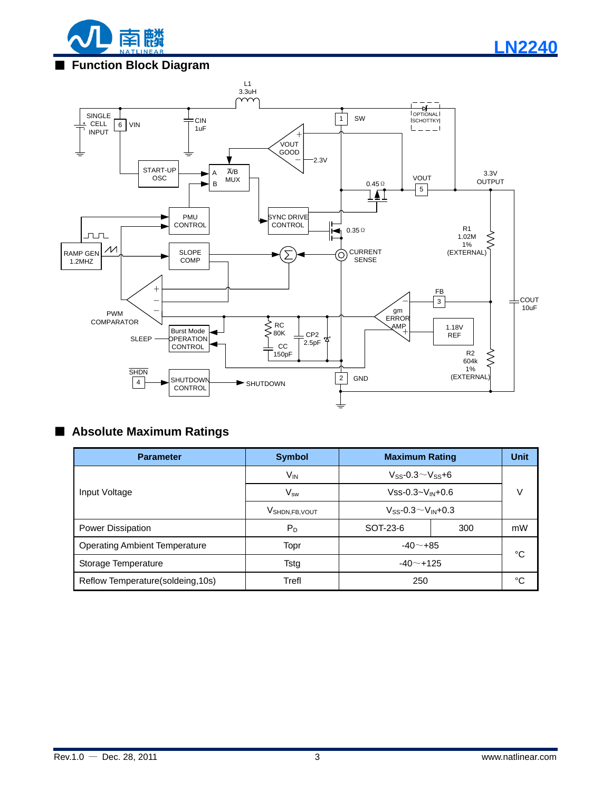

# ■ **Function Block Diagram**



# ■ **Absolute Maximum Ratings**

| <b>Parameter</b>                     | <b>Symbol</b>                | <b>Maximum Rating</b>                     |     | <b>Unit</b> |
|--------------------------------------|------------------------------|-------------------------------------------|-----|-------------|
|                                      | $V_{IN}$                     | $V_{SS}$ -0.3 $\sim$ Vss+6                |     |             |
| Input Voltage                        | $V_{sw}$                     | $Vss-0.3-V_{IN}+0.6$                      |     | v           |
|                                      | V <sub>SHDN, FB</sub> , VOUT | $V_{SS}$ -0.3 $\sim$ V <sub>IN</sub> +0.3 |     |             |
| Power Dissipation                    | P <sub>D</sub>               | SOT-23-6                                  | 300 | mW          |
| <b>Operating Ambient Temperature</b> | Topr                         | $-40$ $-+85$                              |     | °C          |
| Storage Temperature                  | <b>Tstg</b>                  | $-40$ $-$ +125                            |     |             |
| Reflow Temperature(soldeing, 10s)    | Trefl                        | 250                                       |     | °C          |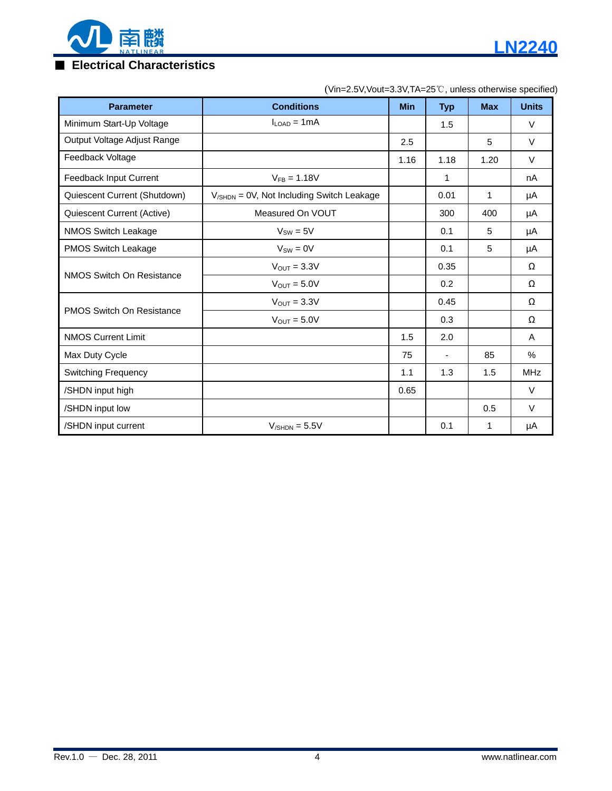

# ■ **Electrical Characteristics**

| <b>Parameter</b>                 | <b>Conditions</b>                               | <b>Min</b> | <b>Typ</b> | <b>Max</b> | <b>Units</b> |
|----------------------------------|-------------------------------------------------|------------|------------|------------|--------------|
| Minimum Start-Up Voltage         | $I_{\text{LOAD}} = 1 \text{mA}$                 |            | 1.5        |            | $\vee$       |
| Output Voltage Adjust Range      |                                                 | 2.5        |            | 5          | $\vee$       |
| Feedback Voltage                 |                                                 | 1.16       | 1.18       | 1.20       | V            |
| Feedback Input Current           | $V_{FB} = 1.18V$                                |            | 1          |            | nA           |
| Quiescent Current (Shutdown)     | $V_{/SHDN} = 0V$ , Not Including Switch Leakage |            | 0.01       | 1          | μA           |
| Quiescent Current (Active)       | Measured On VOUT                                |            | 300        | 400        | μA           |
| <b>NMOS Switch Leakage</b>       | $V_{SW} = 5V$                                   |            | 0.1        | 5          | μA           |
| PMOS Switch Leakage              | $V_{SW} = 0V$                                   |            | 0.1        | 5          | μA           |
| NMOS Switch On Resistance        | $V_{OUT} = 3.3V$                                |            | 0.35       |            | Ω            |
|                                  | $V_{OUT} = 5.0V$                                |            | 0.2        |            | Ω            |
|                                  | $V_{OUT} = 3.3V$                                |            | 0.45       |            | Ω            |
| <b>PMOS Switch On Resistance</b> | $V_{OUT} = 5.0V$                                |            | 0.3        |            | Ω            |
| <b>NMOS Current Limit</b>        |                                                 | 1.5        | 2.0        |            | A            |
| Max Duty Cycle                   |                                                 | 75         |            | 85         | %            |
| <b>Switching Frequency</b>       |                                                 | 1.1        | 1.3        | 1.5        | <b>MHz</b>   |
| /SHDN input high                 |                                                 | 0.65       |            |            | $\vee$       |
| /SHDN input low                  |                                                 |            |            | 0.5        | $\vee$       |
| /SHDN input current              | $V_{/SHDN} = 5.5V$                              |            | 0.1        | 1          | μA           |

## (Vin=2.5V,Vout=3.3V,TA=25℃, unless otherwise specified)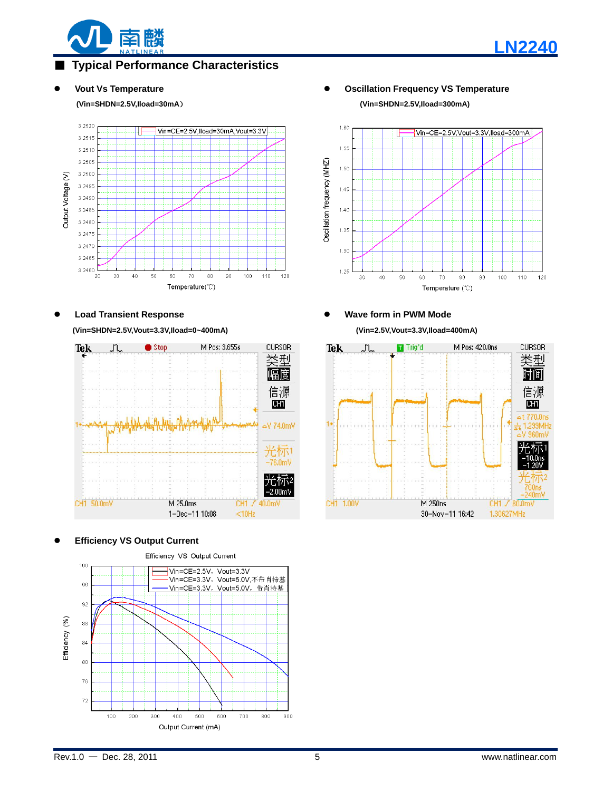

# **Typical Performance Characteristics**

#### **(Vin=SHDN=2.5V,Iload=30mA**) **(Vin=SHDN=2.5V,Iload=300mA)**



**(Vin=SHDN=2.5V,Vout=3.3V,Iload=0~400mA) (Vin=2.5V,Vout=3.3V,Iload=400mA)**



#### **Efficiency VS Output Current**



**Vout Vs Temperature Oscillation Frequency VS Temperature**

#### $1.60$ Vin=CE=2.5V.Vout=3.3V.lload=300mA 1.55 Oscillation frequency (MHZ) 1.50  $1.45$  $140$ 1.35  $1.30$  $1.25$  $30$  $40^{\circ}$ 50  $70$  $100$ 110 120  $60$ 80 90 Temperature  $(°C)$

# Load Transient Response *Allen Load Transient Response Wave form in PWM Mode*

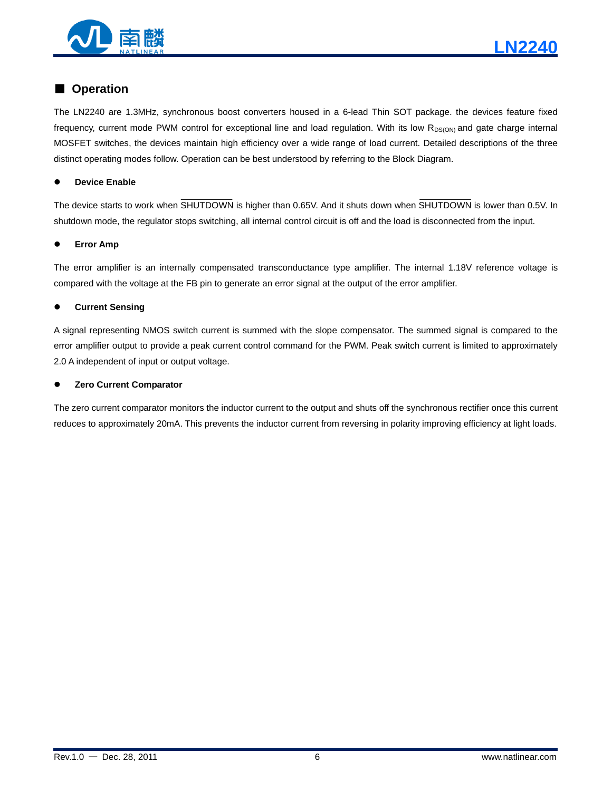

# ■ **Operation**

The LN2240 are 1.3MHz, synchronous boost converters housed in a 6-lead Thin SOT package. the devices feature fixed frequency, current mode PWM control for exceptional line and load regulation. With its low R<sub>DS(ON)</sub> and gate charge internal MOSFET switches, the devices maintain high efficiency over a wide range of load current. Detailed descriptions of the three distinct operating modes follow. Operation can be best understood by referring to the Block Diagram.

#### **Device Enable**

The device starts to work when SHUTDOWN is higher than 0.65V. And it shuts down when SHUTDOWN is lower than 0.5V. In shutdown mode, the regulator stops switching, all internal control circuit is off and the load is disconnected from the input.

#### **Error Amp**

The error amplifier is an internally compensated transconductance type amplifier. The internal 1.18V reference voltage is compared with the voltage at the FB pin to generate an error signal at the output of the error amplifier.

#### **Current Sensing**

A signal representing NMOS switch current is summed with the slope compensator. The summed signal is compared to the error amplifier output to provide a peak current control command for the PWM. Peak switch current is limited to approximately 2.0 A independent of input or output voltage.

#### **Zero Current Comparator**

The zero current comparator monitors the inductor current to the output and shuts off the synchronous rectifier once this current reduces to approximately 20mA. This prevents the inductor current from reversing in polarity improving efficiency at light loads.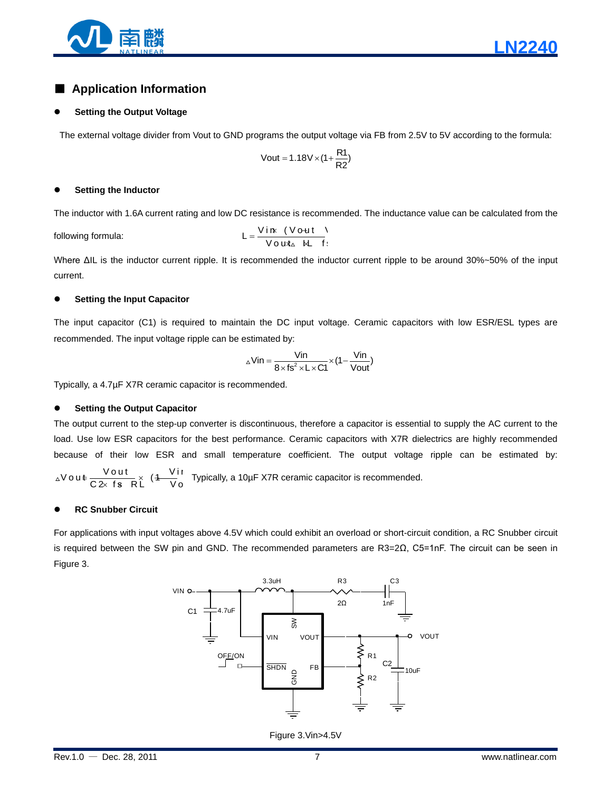

# ■ **Application Information**

#### **Setting the Output Voltage**

The external voltage divider from Vout to GND programs the output voltage via FB from 2.5V to 5V according to the formula:

$$
Vout = 1.18V \times (1 + \frac{R1}{R2})
$$

#### **Setting the Inductor**

The inductor with 1.6A current rating and low DC resistance is recommended. The inductance value can be calculated from the

following formula:

$$
L = \frac{V \text{ in } (V \text{ out})}{V \text{ out } \text{ at } H}
$$

Where ΔIL is the inductor current ripple. It is recommended the inductor current ripple to be around 30%~50% of the input current.

#### **Setting the Input Capacitor**

The input capacitor (C1) is required to maintain the DC input voltage. Ceramic capacitors with low ESR/ESL types are recommended. The input voltage ripple can be estimated by:

$$
\triangle Vin = \frac{Vin}{8 \times fs^2 \times L \times C1} \times (1 - \frac{Vin}{Vout})
$$

Typically, a 4.7µF X7R ceramic capacitor is recommended.

#### **Setting the Output Capacitor**

The output current to the step-up converter is discontinuous, therefore a capacitor is essential to supply the AC current to the load. Use low ESR capacitors for the best performance. Ceramic capacitors with X7R dielectrics are highly recommended because of their low ESR and small temperature coefficient. The output voltage ripple can be estimated by:

$$
\Delta V \, o \, u \, \epsilon \, \frac{V \, o \, u \, t}{C \, 2 \times \, f \, s \, R \, L} \quad (4 \, \frac{V \, i \, r}{V \, o} \, \text{Typically, a 10 \mu F} \, X7R \, \text{ceramic capacitor is recommended.}
$$

#### **RC Snubber Circuit**

For applications with input voltages above 4.5V which could exhibit an overload or short-circuit condition, a RC Snubber circuit is required between the SW pin and GND. The recommended parameters are R3=2Ω, C5=1nF. The circuit can be seen in Figure 3.



Figure 3.Vin>4.5V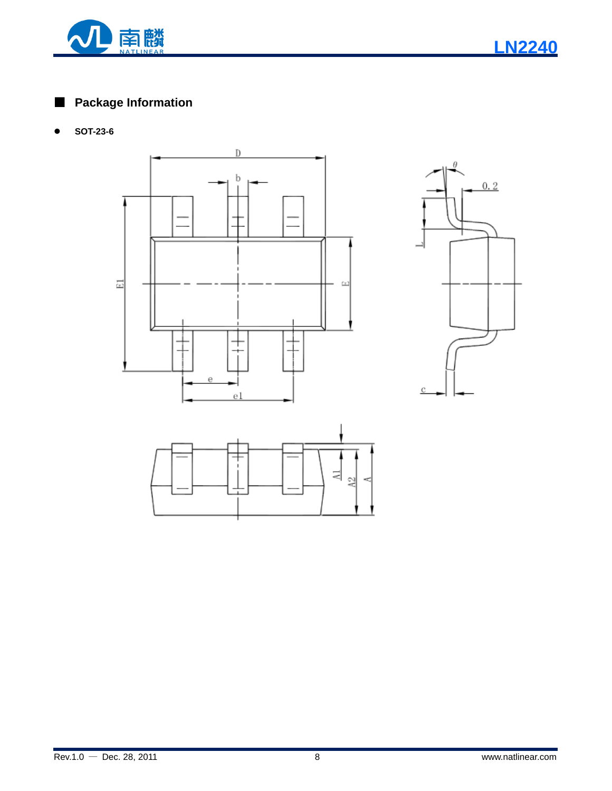

■ **Package Information**

**SOT-23-6**





뉙  $\tilde{a}$